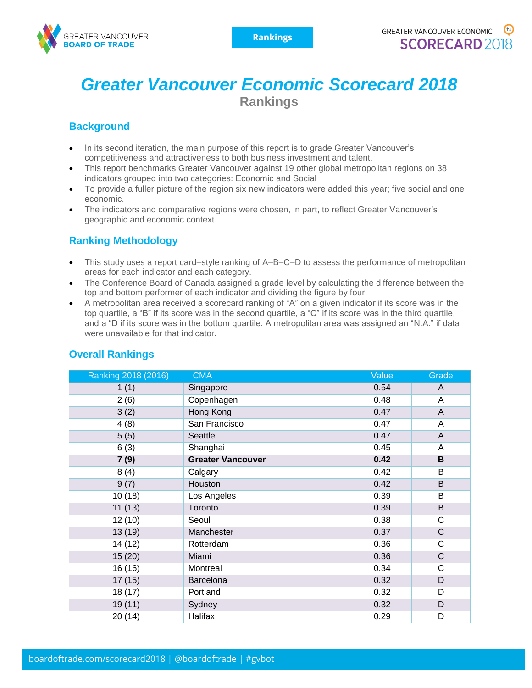

# *Greater Vancouver Economic Scorecard 2018* **Rankings**

## **Background**

- In its second iteration, the main purpose of this report is to grade Greater Vancouver's competitiveness and attractiveness to both business investment and talent.
- This report benchmarks Greater Vancouver against 19 other global metropolitan regions on 38 indicators grouped into two categories: Economic and Social
- To provide a fuller picture of the region six new indicators were added this year; five social and one economic.
- The indicators and comparative regions were chosen, in part, to reflect Greater Vancouver's geographic and economic context.

## **Ranking Methodology**

- This study uses a report card–style ranking of A–B–C–D to assess the performance of metropolitan areas for each indicator and each category.
- The Conference Board of Canada assigned a grade level by calculating the difference between the top and bottom performer of each indicator and dividing the figure by four.
- A metropolitan area received a scorecard ranking of "A" on a given indicator if its score was in the top quartile, a "B" if its score was in the second quartile, a "C" if its score was in the third quartile, and a "D if its score was in the bottom quartile. A metropolitan area was assigned an "N.A." if data were unavailable for that indicator.

| Ranking 2018 (2016) | <b>CMA</b>               | Value | Grade        |
|---------------------|--------------------------|-------|--------------|
| 1(1)                | Singapore                | 0.54  | A            |
| 2(6)                | Copenhagen               | 0.48  | A            |
| 3(2)                | Hong Kong                | 0.47  | A            |
| 4(8)                | San Francisco            | 0.47  | A            |
| 5(5)                | <b>Seattle</b>           | 0.47  | A            |
| 6(3)                | Shanghai                 | 0.45  | A            |
| 7(9)                | <b>Greater Vancouver</b> | 0.42  | B            |
| 8(4)                | Calgary                  | 0.42  | B            |
| 9(7)                | Houston                  | 0.42  | B            |
| 10(18)              | Los Angeles              | 0.39  | B            |
| 11(13)              | Toronto                  | 0.39  | B            |
| 12(10)              | Seoul                    | 0.38  | $\mathsf{C}$ |
| 13 (19)             | Manchester               | 0.37  | $\mathsf{C}$ |
| 14 (12)             | Rotterdam                | 0.36  | C            |
| 15(20)              | Miami                    | 0.36  | $\mathsf{C}$ |
| 16 (16)             | Montreal                 | 0.34  | $\mathsf{C}$ |
| 17(15)              | Barcelona                | 0.32  | D            |
| 18 (17)             | Portland                 | 0.32  | D            |
| 19(11)              | Sydney                   | 0.32  | D            |
| 20(14)              | Halifax                  | 0.29  | D            |

#### **Overall Rankings**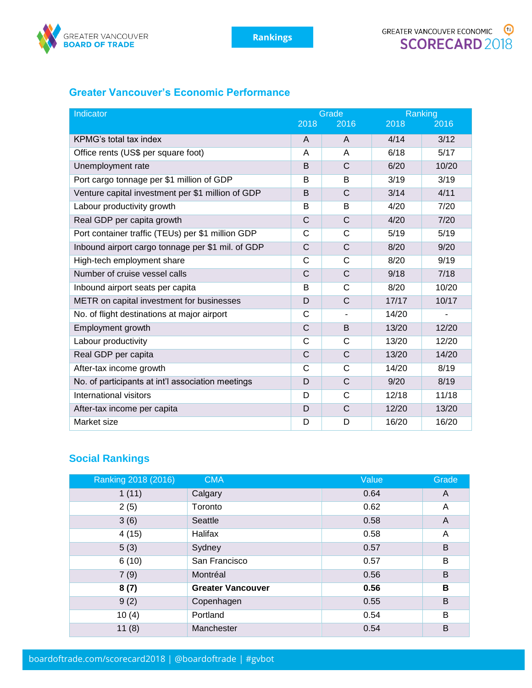

## **Greater Vancouver's Economic Performance**

| Indicator                                         | Grade        |              | Ranking |       |
|---------------------------------------------------|--------------|--------------|---------|-------|
|                                                   | 2018         | 2016         | 2018    | 2016  |
| KPMG's total tax index                            | A            | A            | 4/14    | 3/12  |
| Office rents (US\$ per square foot)               | A            | A            | 6/18    | 5/17  |
| Unemployment rate                                 | B            | C            | 6/20    | 10/20 |
| Port cargo tonnage per \$1 million of GDP         | B            | B            | 3/19    | 3/19  |
| Venture capital investment per \$1 million of GDP | B            | $\mathsf{C}$ | 3/14    | 4/11  |
| Labour productivity growth                        | B            | B            | 4/20    | 7/20  |
| Real GDP per capita growth                        | $\mathsf C$  | C            | 4/20    | 7/20  |
| Port container traffic (TEUs) per \$1 million GDP | C            | C            | 5/19    | 5/19  |
| Inbound airport cargo tonnage per \$1 mil. of GDP | C            | C            | 8/20    | 9/20  |
| High-tech employment share                        | $\mathsf{C}$ | C            | 8/20    | 9/19  |
| Number of cruise vessel calls                     | $\mathsf{C}$ | C            | 9/18    | 7/18  |
| Inbound airport seats per capita                  | B            | C            | 8/20    | 10/20 |
| METR on capital investment for businesses         | D            | C            | 17/17   | 10/17 |
| No. of flight destinations at major airport       | C            | ٠            | 14/20   |       |
| Employment growth                                 | C            | B            | 13/20   | 12/20 |
| Labour productivity                               | C            | C            | 13/20   | 12/20 |
| Real GDP per capita                               | $\mathsf{C}$ | C            | 13/20   | 14/20 |
| After-tax income growth                           | C            | C            | 14/20   | 8/19  |
| No. of participants at int'l association meetings | D            | C            | 9/20    | 8/19  |
| International visitors                            | D            | C            | 12/18   | 11/18 |
| After-tax income per capita                       | D            | $\mathsf{C}$ | 12/20   | 13/20 |
| Market size                                       | D            | D            | 16/20   | 16/20 |

## **Social Rankings**

| Ranking 2018 (2016) | <b>CMA</b>               | Value | Grade          |
|---------------------|--------------------------|-------|----------------|
| 1(11)               | Calgary                  | 0.64  | $\overline{A}$ |
| 2(5)                | Toronto                  | 0.62  | A              |
| 3(6)                | Seattle                  | 0.58  | A              |
| 4(15)               | Halifax                  | 0.58  | A              |
| 5(3)                | Sydney                   | 0.57  | B              |
| 6(10)               | San Francisco            | 0.57  | B              |
| 7(9)                | Montréal                 | 0.56  | B              |
| 8(7)                | <b>Greater Vancouver</b> | 0.56  | в              |
| 9(2)                | Copenhagen               | 0.55  | B              |
| 10(4)               | Portland                 | 0.54  | B              |
| 11(8)               | Manchester               | 0.54  | B              |